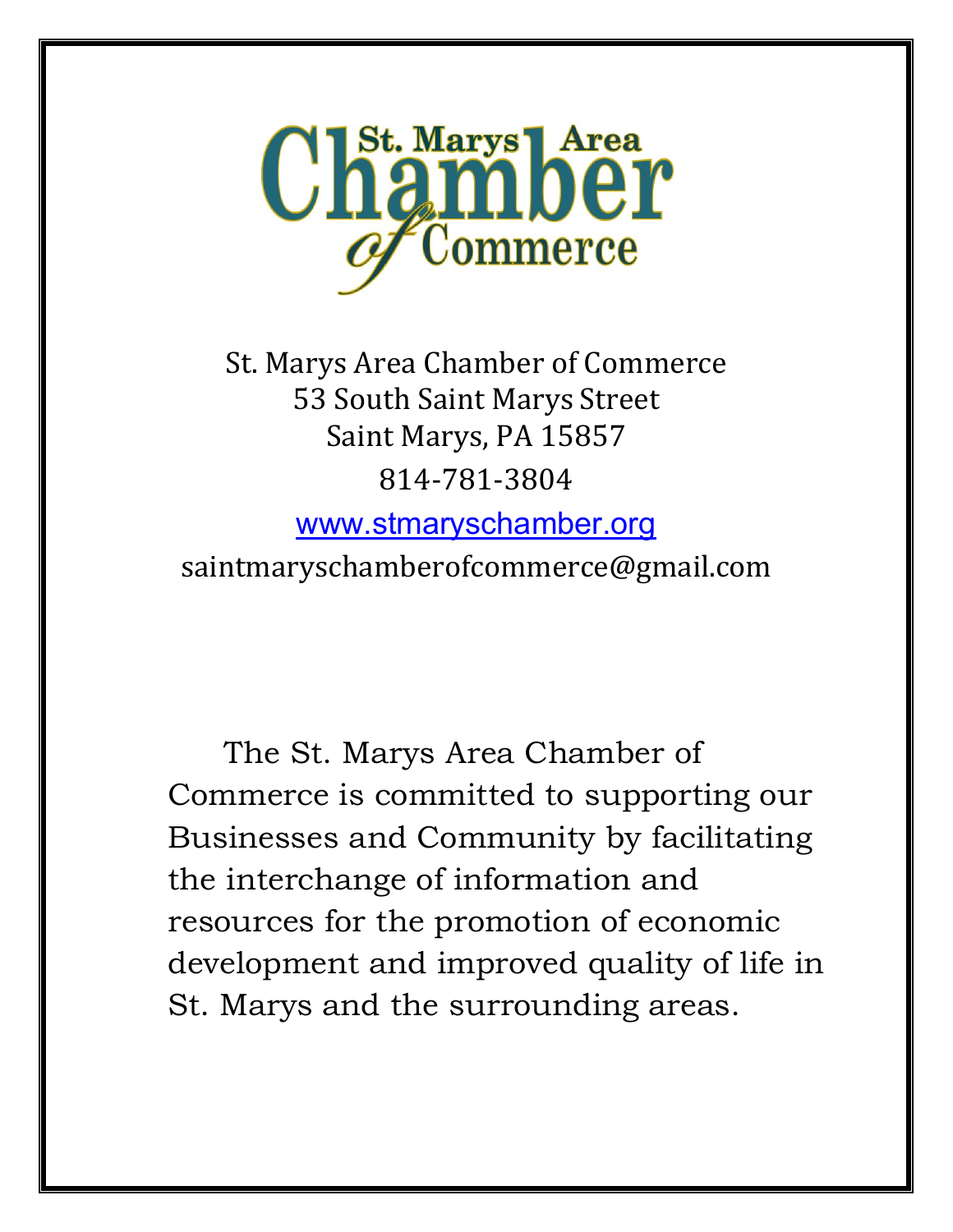

St. Marys Area Chamber of Commerce 53 South Saint Marys Street Saint Marys, PA 15857 814-781-3804 [www.stmaryschamber.org](http://www.stmaryschamber.org/)

[saintmaryschamberofcommerce@gmail.com](mailto:saintmaryschamberofcommerce@gmail.com)

The St. Marys Area Chamber of Commerce is committed to supporting our Businesses and Community by facilitating the interchange of information and resources for the promotion of economic development and improved quality of life in St. Marys and the surrounding areas.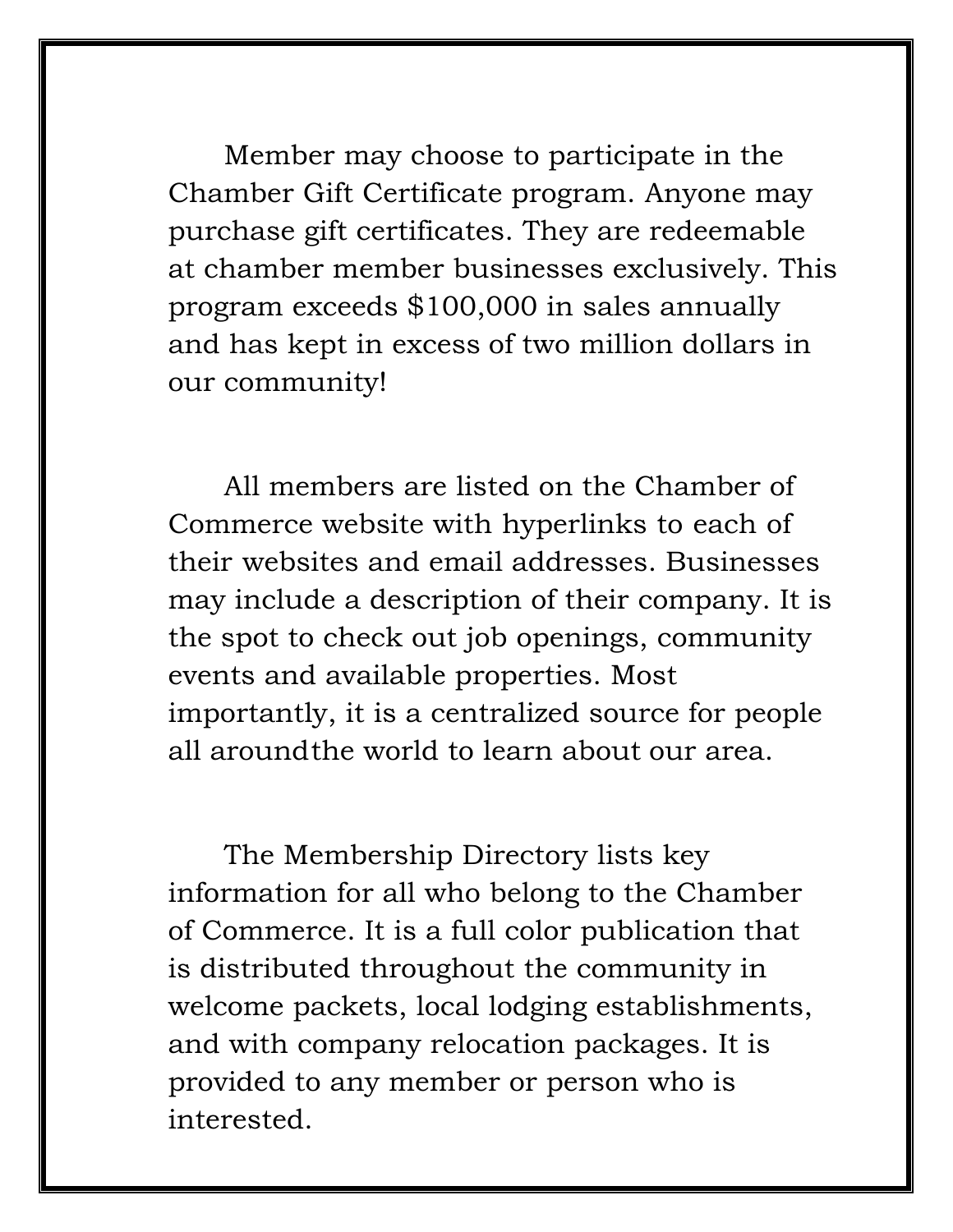Member may choose to participate in the Chamber Gift Certificate program. Anyone may purchase gift certificates. They are redeemable at chamber member businesses exclusively. This program exceeds \$100,000 in sales annually and has kept in excess of two million dollars in our community!

All members are listed on the Chamber of Commerce website with hyperlinks to each of their websites and email addresses. Businesses may include a description of their company. It is the spot to check out job openings, community events and available properties. Most importantly, it is a centralized source for people all aroundthe world to learn about our area.

The Membership Directory lists key information for all who belong to the Chamber of Commerce. It is a full color publication that is distributed throughout the community in welcome packets, local lodging establishments, and with company relocation packages. It is provided to any member or person who is interested.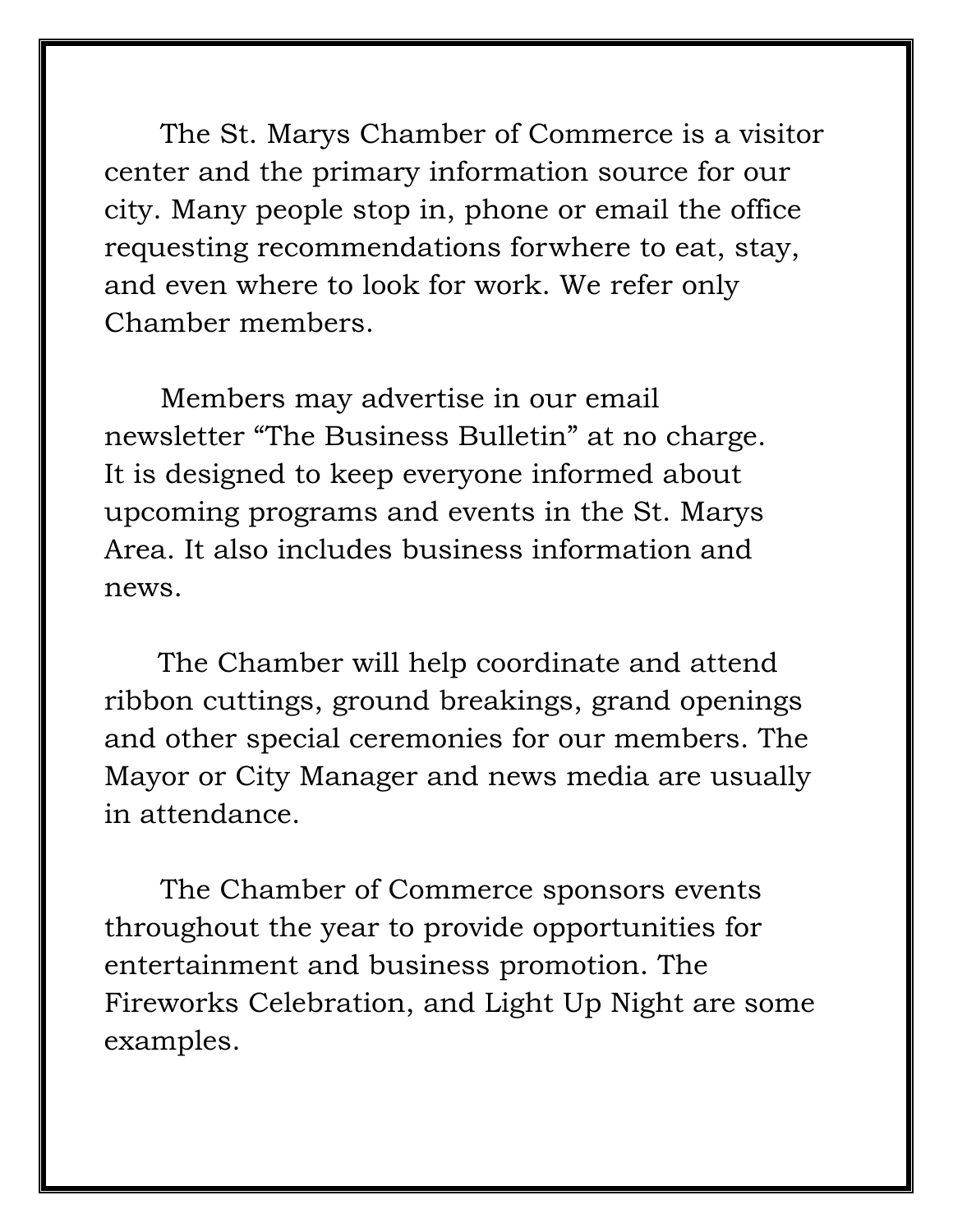The St. Marys Chamber of Commerce is a visitor center and the primary information source for our city. Many people stop in, phone or email the office requesting recommendations forwhere to eat, stay, and even where to look for work. We refer only Chamber members.

Members may advertise in our email newsletter "The Business Bulletin" at no charge. It is designed to keep everyone informed about upcoming programs and events in the St. Marys Area. It also includes business information and news.

 The Chamber will help coordinate and attend ribbon cuttings, ground breakings, grand openings and other special ceremonies for our members. The Mayor or City Manager and news media are usually in attendance.

The Chamber of Commerce sponsors events throughout the year to provide opportunities for entertainment and business promotion. The Fireworks Celebration, and Light Up Night are some examples.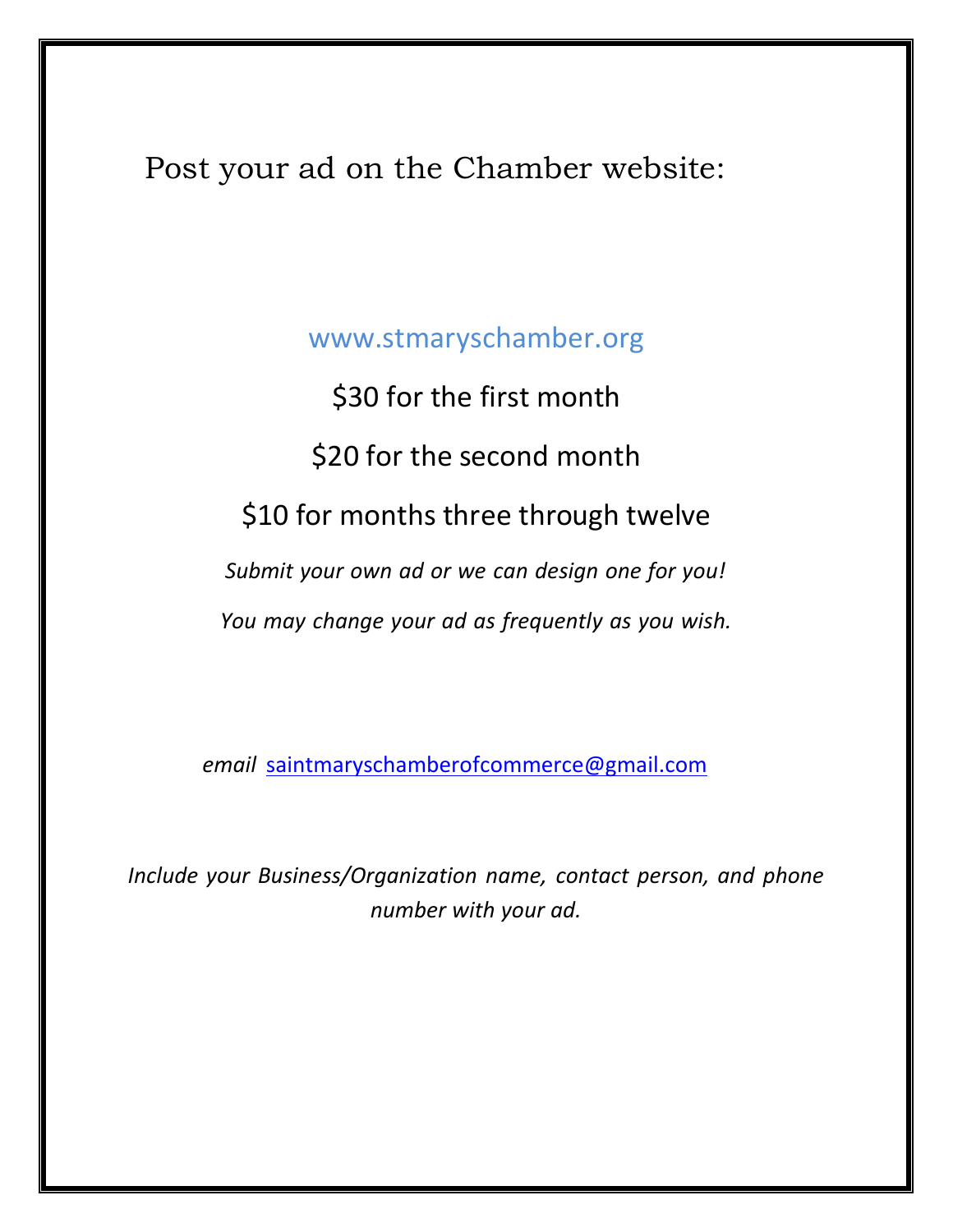## Post your ad on the Chamber website:

[www.stmaryschamber.org](http://www.stmaryschamber.org/)

\$30 for the first month \$20 for the second month \$10 for months three through twelve *Submit your own ad or we can design one for you! You may change your ad as frequently as you wish.*

 *email* [saintmaryschamberofcommerce@gmail.com](mailto:saintmaryschamberofcommerce@gmail.com)

*Include your Business/Organization name, contact person, and phone number with your ad.*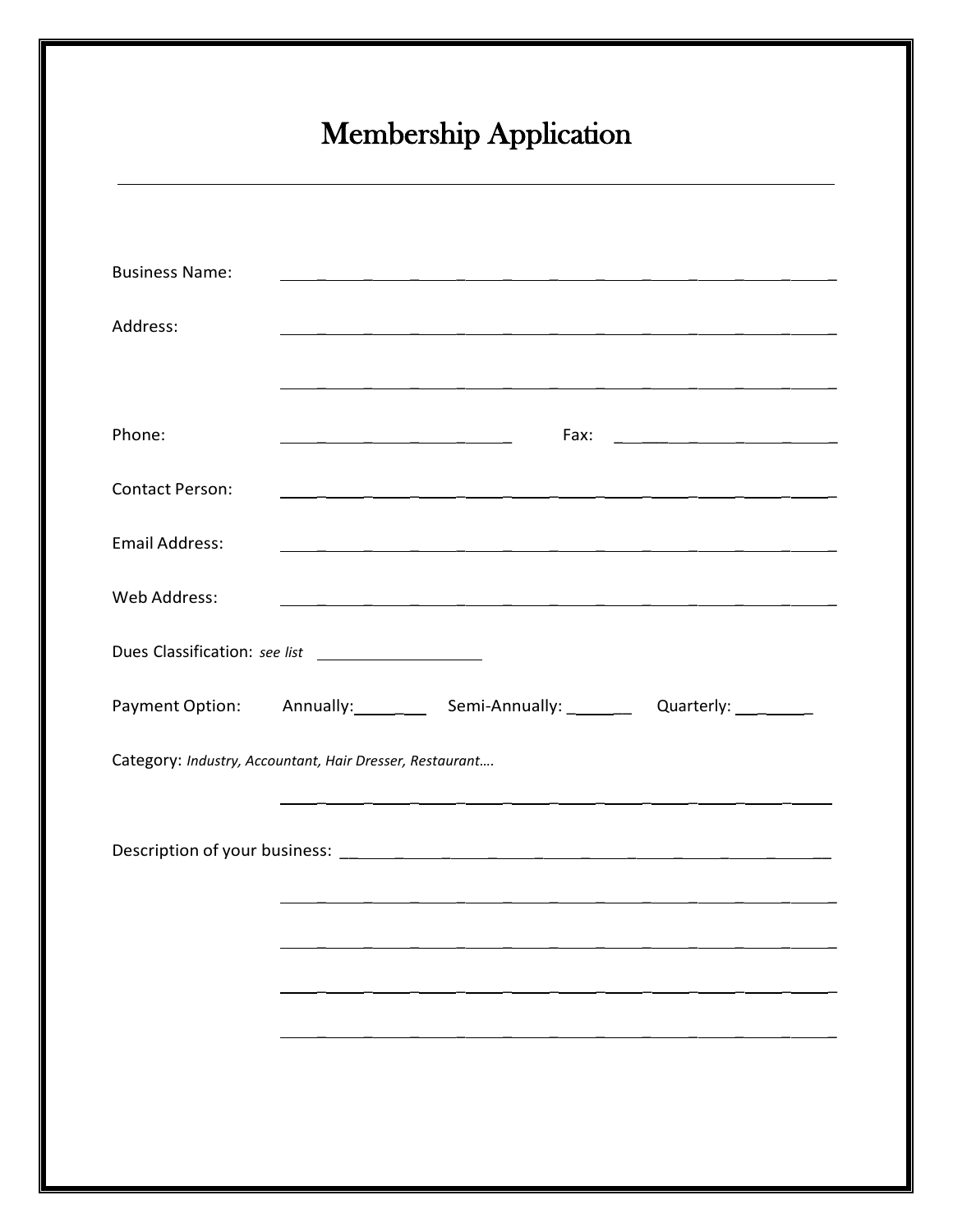## Membership Application

| <b>Business Name:</b>  | <u> 1990 - Andrea Andrew Amerikaansk politik (* 1950)</u>                                                            |  |  |
|------------------------|----------------------------------------------------------------------------------------------------------------------|--|--|
| Address:               | <u>. 2001 - 2002 - 2003 - 2004 - 2005 - 2006 - 2007 - 2008 - 2009 - 2009 - 2009 - 2009 - 2009 - 2009 - 2009 - 20</u> |  |  |
|                        |                                                                                                                      |  |  |
| Phone:                 |                                                                                                                      |  |  |
| <b>Contact Person:</b> | <u> 2000 - Jan James James James James James James James James James James James James James James James James J</u> |  |  |
| <b>Email Address:</b>  | <u> 1920 - Jan James James, martin amerikan basar (j. 1920)</u>                                                      |  |  |
| Web Address:           |                                                                                                                      |  |  |
|                        |                                                                                                                      |  |  |
|                        |                                                                                                                      |  |  |
|                        | Payment Option: Annually: Semi-Annually: Quarterly: 1990.                                                            |  |  |
|                        | Category: Industry, Accountant, Hair Dresser, Restaurant                                                             |  |  |
|                        |                                                                                                                      |  |  |
|                        |                                                                                                                      |  |  |
|                        |                                                                                                                      |  |  |
|                        |                                                                                                                      |  |  |
|                        |                                                                                                                      |  |  |
|                        |                                                                                                                      |  |  |
|                        |                                                                                                                      |  |  |